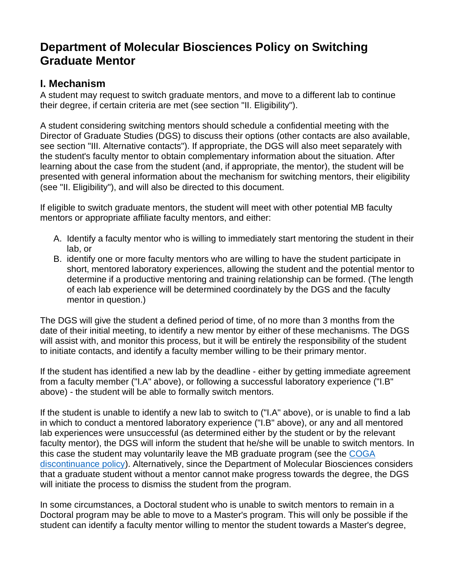## **Department of Molecular Biosciences Policy on Switching Graduate Mentor**

## **I. Mechanism**

A student may request to switch graduate mentors, and move to a different lab to continue their degree, if certain criteria are met (see section "II. Eligibility").

A student considering switching mentors should schedule a confidential meeting with the Director of Graduate Studies (DGS) to discuss their options (other contacts are also available, see section "III. Alternative contacts"). If appropriate, the DGS will also meet separately with the student's faculty mentor to obtain complementary information about the situation. After learning about the case from the student (and, if appropriate, the mentor), the student will be presented with general information about the mechanism for switching mentors, their eligibility (see "II. Eligibility"), and will also be directed to this document.

If eligible to switch graduate mentors, the student will meet with other potential MB faculty mentors or appropriate affiliate faculty mentors, and either:

- A. Identify a faculty mentor who is willing to immediately start mentoring the student in their lab, or
- B. identify one or more faculty mentors who are willing to have the student participate in short, mentored laboratory experiences, allowing the student and the potential mentor to determine if a productive mentoring and training relationship can be formed. (The length of each lab experience will be determined coordinately by the DGS and the faculty mentor in question.)

The DGS will give the student a defined period of time, of no more than 3 months from the date of their initial meeting, to identify a new mentor by either of these mechanisms. The DGS will assist with, and monitor this process, but it will be entirely the responsibility of the student to initiate contacts, and identify a faculty member willing to be their primary mentor.

If the student has identified a new lab by the deadline - either by getting immediate agreement from a faculty member ("I.A" above), or following a successful laboratory experience ("I.B" above) - the student will be able to formally switch mentors.

If the student is unable to identify a new lab to switch to ("I.A" above), or is unable to find a lab in which to conduct a mentored laboratory experience ("I.B" above), or any and all mentored lab experiences were unsuccessful (as determined either by the student or by the relevant faculty mentor), the DGS will inform the student that he/she will be unable to switch mentors. In this case the student may voluntarily leave the MB graduate program (see the [COGA](https://coga.ku.edu/progress-to-degree/status-changes/discontinuance)  [discontinuance policy\)](https://coga.ku.edu/progress-to-degree/status-changes/discontinuance). Alternatively, since the Department of Molecular Biosciences considers that a graduate student without a mentor cannot make progress towards the degree, the DGS will initiate the process to dismiss the student from the program.

In some circumstances, a Doctoral student who is unable to switch mentors to remain in a Doctoral program may be able to move to a Master's program. This will only be possible if the student can identify a faculty mentor willing to mentor the student towards a Master's degree,